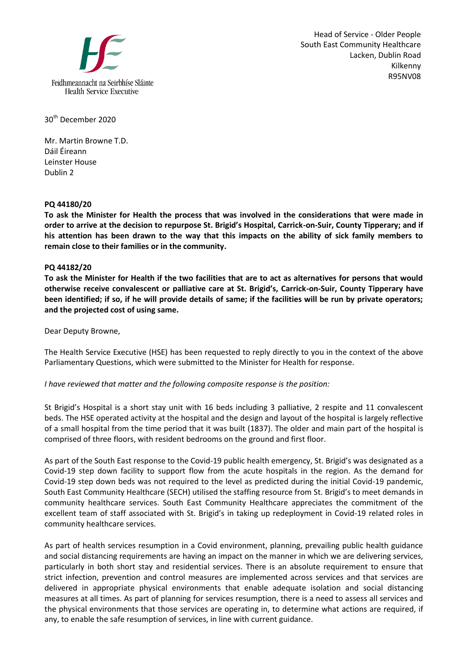

Head of Service - Older People South East Community Healthcare Lacken, Dublin Road Kilkenny R95NV08

30th December 2020

Mr. Martin Browne T.D. Dáil Éireann Leinster House Dublin 2

## **PQ 44180/20**

**To ask the Minister for Health the process that was involved in the considerations that were made in order to arrive at the decision to repurpose St. Brigid's Hospital, Carrick-on-Suir, County Tipperary; and if his attention has been drawn to the way that this impacts on the ability of sick family members to remain close to their families or in the community.**

## **PQ 44182/20**

**To ask the Minister for Health if the two facilities that are to act as alternatives for persons that would otherwise receive convalescent or palliative care at St. Brigid's, Carrick-on-Suir, County Tipperary have been identified; if so, if he will provide details of same; if the facilities will be run by private operators; and the projected cost of using same.** 

Dear Deputy Browne,

The Health Service Executive (HSE) has been requested to reply directly to you in the context of the above Parliamentary Questions, which were submitted to the Minister for Health for response.

## *I have reviewed that matter and the following composite response is the position:*

St Brigid's Hospital is a short stay unit with 16 beds including 3 palliative, 2 respite and 11 convalescent beds. The HSE operated activity at the hospital and the design and layout of the hospital is largely reflective of a small hospital from the time period that it was built (1837). The older and main part of the hospital is comprised of three floors, with resident bedrooms on the ground and first floor.

As part of the South East response to the Covid-19 public health emergency, St. Brigid's was designated as a Covid-19 step down facility to support flow from the acute hospitals in the region. As the demand for Covid-19 step down beds was not required to the level as predicted during the initial Covid-19 pandemic, South East Community Healthcare (SECH) utilised the staffing resource from St. Brigid's to meet demands in community healthcare services. South East Community Healthcare appreciates the commitment of the excellent team of staff associated with St. Brigid's in taking up redeployment in Covid-19 related roles in community healthcare services.

As part of health services resumption in a Covid environment, planning, prevailing public health guidance and social distancing requirements are having an impact on the manner in which we are delivering services, particularly in both short stay and residential services. There is an absolute requirement to ensure that strict infection, prevention and control measures are implemented across services and that services are delivered in appropriate physical environments that enable adequate isolation and social distancing measures at all times. As part of planning for services resumption, there is a need to assess all services and the physical environments that those services are operating in, to determine what actions are required, if any, to enable the safe resumption of services, in line with current guidance.